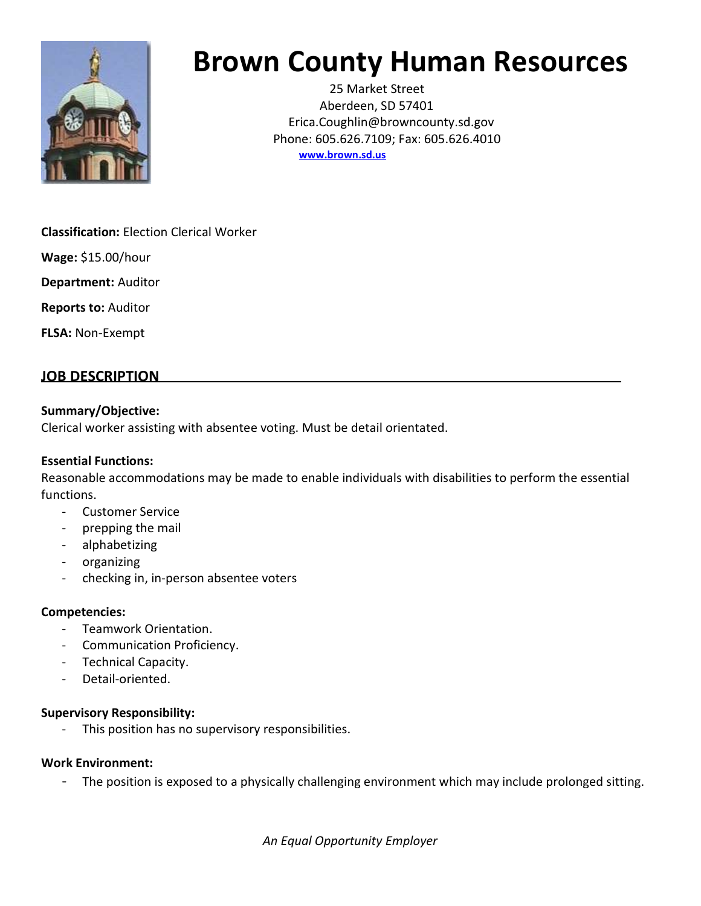

# Brown County Human Resources

25 Market Street Aberdeen, SD 57401 Erica.Coughlin@browncounty.sd.gov Phone: 605.626.7109; Fax: 605.626.4010 www.brown.sd.us

Classification: Election Clerical Worker

Wage: \$15.00/hour

Department: Auditor

Reports to: Auditor

FLSA: Non-Exempt

# JOB DESCRIPTION

# Summary/Objective:

Clerical worker assisting with absentee voting. Must be detail orientated.

# Essential Functions:

Reasonable accommodations may be made to enable individuals with disabilities to perform the essential functions.

- Customer Service
- prepping the mail
- alphabetizing
- organizing
- checking in, in-person absentee voters

# Competencies:

- Teamwork Orientation.
- Communication Proficiency.
- Technical Capacity.
- Detail-oriented.

# Supervisory Responsibility:

This position has no supervisory responsibilities.

#### Work Environment:

- The position is exposed to a physically challenging environment which may include prolonged sitting.